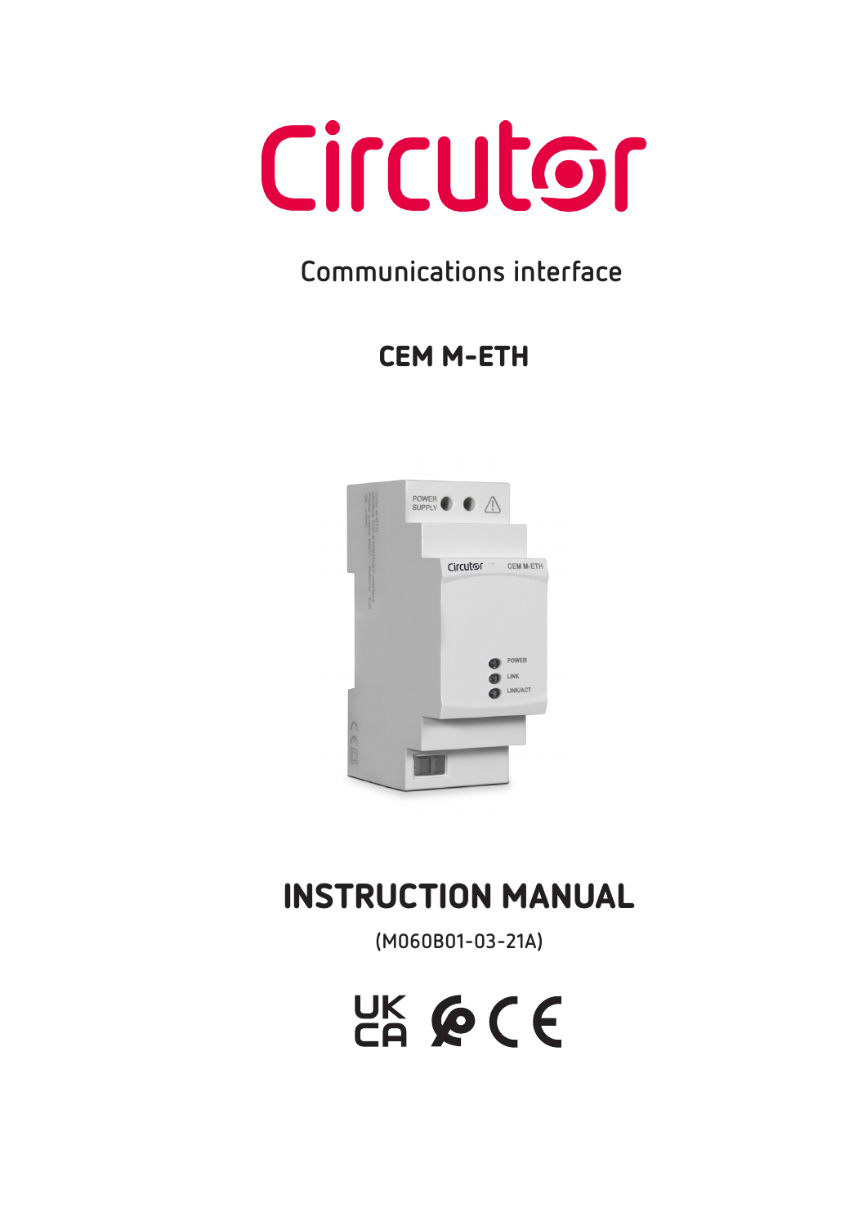

## **Communications interface**

## CEM M-ETH



## INSTRUCTION MANUAL

**(M060B01-03-21A)**

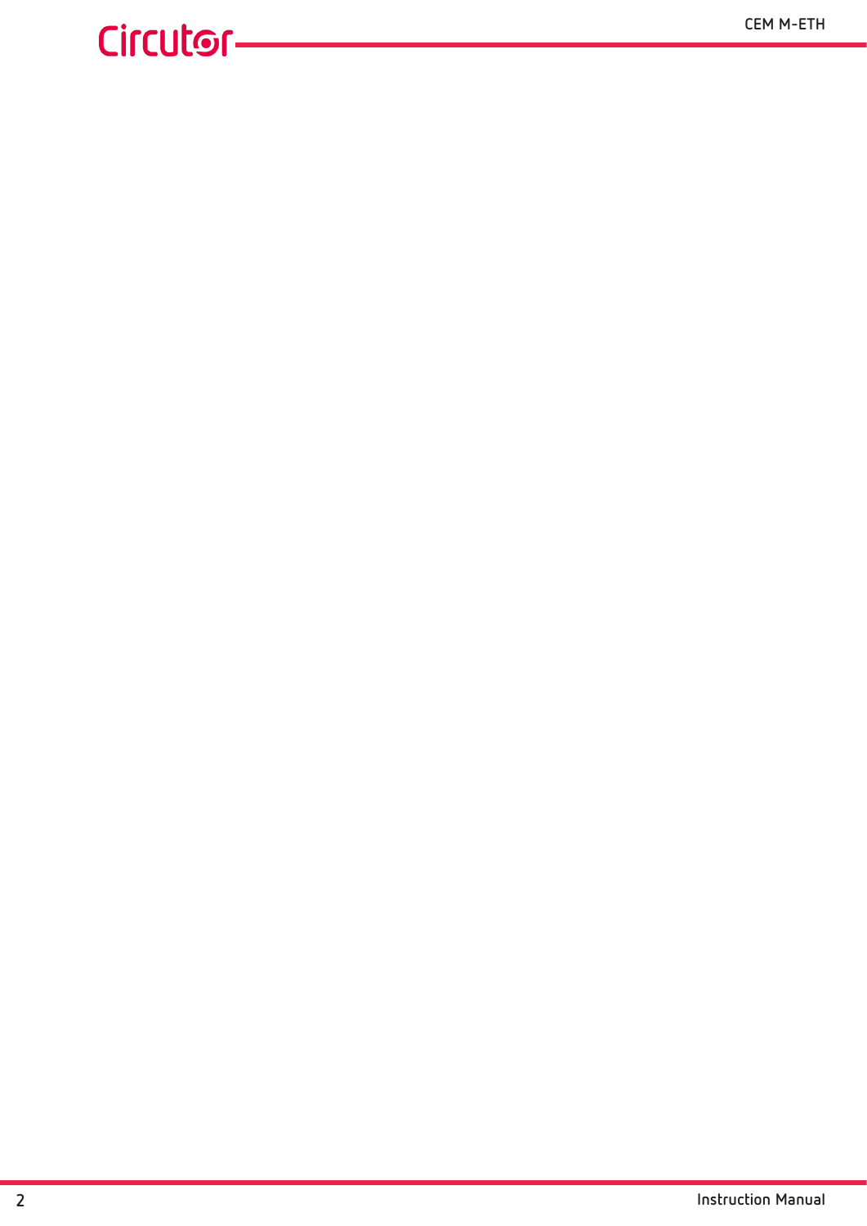# Circutor-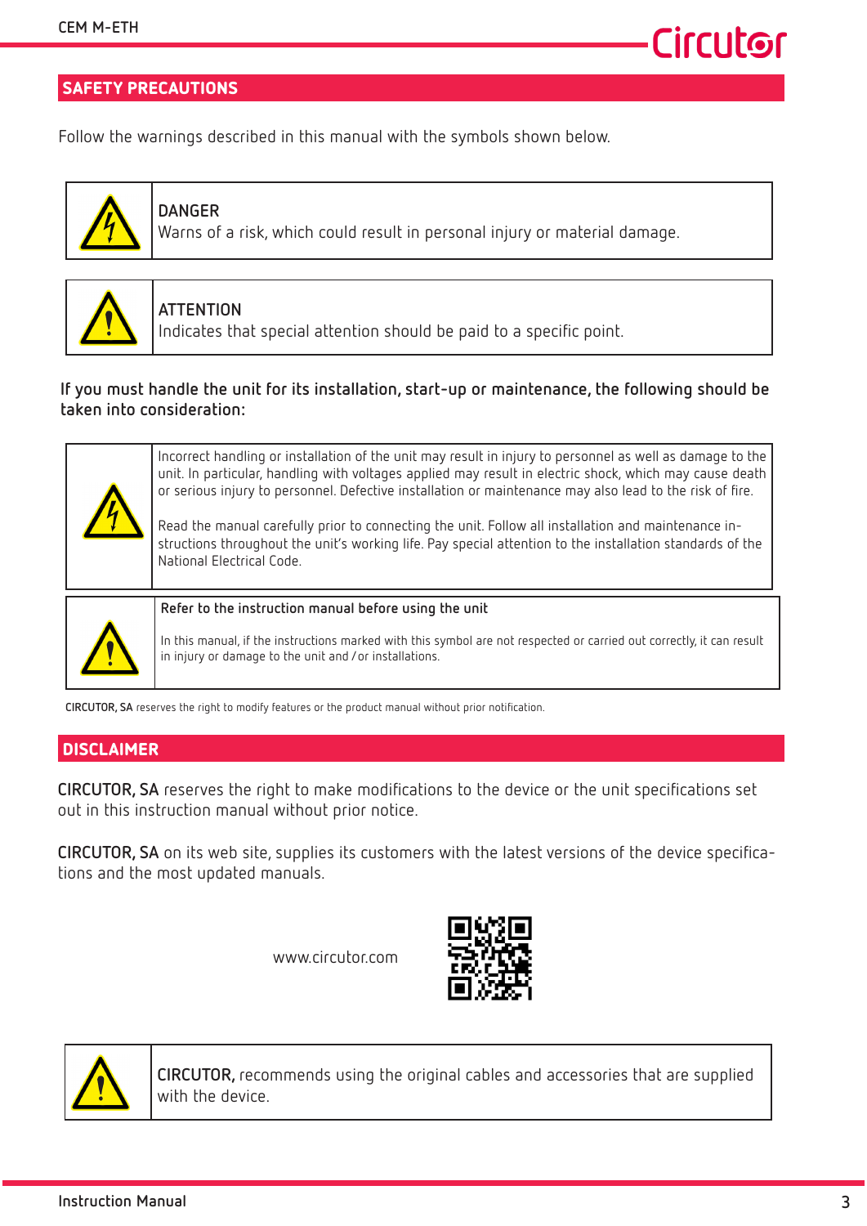#### <span id="page-2-0"></span>SAFETY PRECAUTIONS

Follow the warnings described in this manual with the symbols shown below.



#### **DANGER**

Warns of a risk, which could result in personal injury or material damage.

**Circutor** 



#### **ATTENTION**

National Electrical Code.

Indicates that special attention should be paid to a specific point.

#### **If you must handle the unit for its installation, start-up or maintenance, the following should be taken into consideration:**



#### **Refer to the instruction manual before using the unit**

In this manual, if the instructions marked with this symbol are not respected or carried out correctly, it can result in injury or damage to the unit and /or installations.

**CIRCUTOR, SA** reserves the right to modify features or the product manual without prior notification.

#### DISCLAIMER

**CIRCUTOR, SA** reserves the right to make modifications to the device or the unit specifications set out in this instruction manual without prior notice.

**CIRCUTOR, SA** on its web site, supplies its customers with the latest versions of the device specifications and the most updated manuals.

www.circutor.com





**CIRCUTOR,** recommends using the original cables and accessories that are supplied with the device.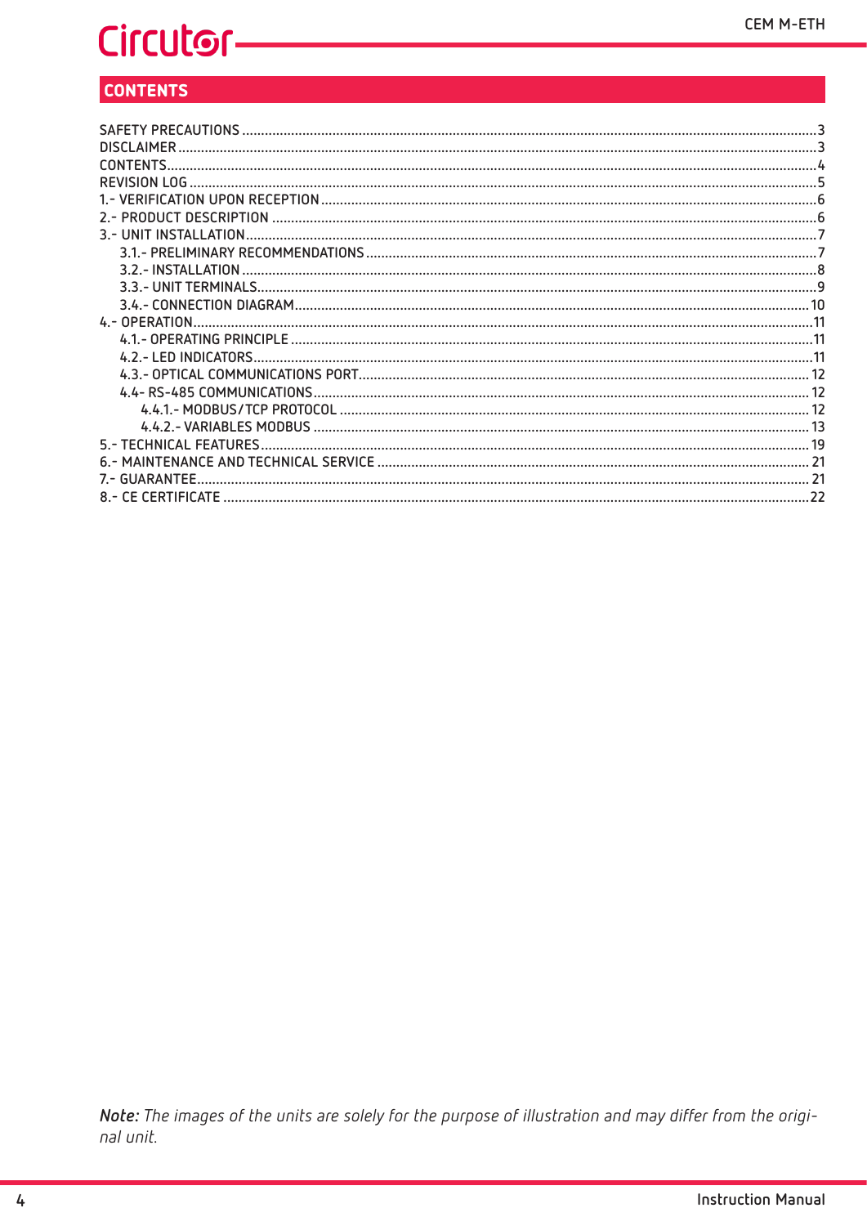# Circutor-

### **CONTENTS**

| <b>DISCLAIMER</b> |  |
|-------------------|--|
|                   |  |
|                   |  |
|                   |  |
|                   |  |
|                   |  |
|                   |  |
|                   |  |
|                   |  |
|                   |  |
|                   |  |
|                   |  |
|                   |  |
|                   |  |
|                   |  |
|                   |  |
|                   |  |
|                   |  |
|                   |  |
|                   |  |
| 7.- GUARANTEE.    |  |
|                   |  |

Note: The images of the units are solely for the purpose of illustration and may differ from the original unit.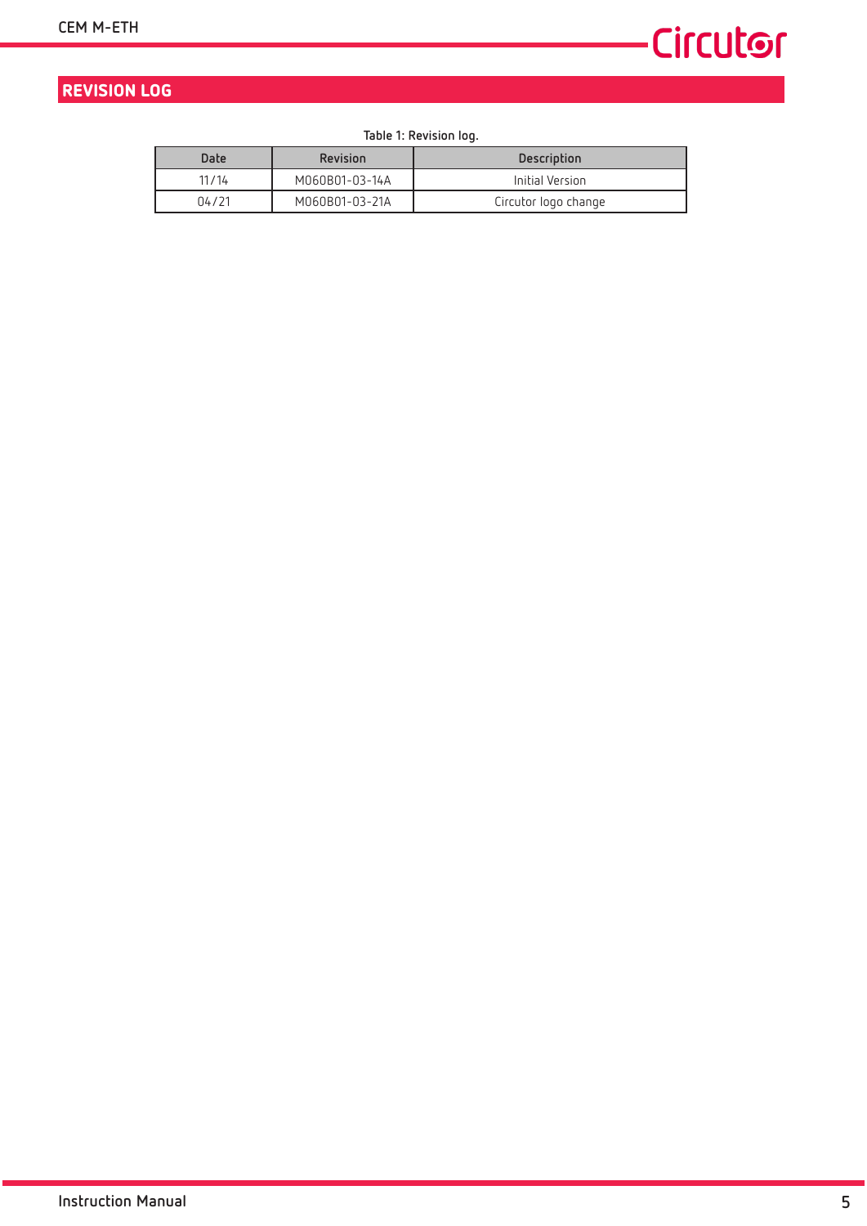# **Circutor**

## <span id="page-4-0"></span>REVISION LOG

#### **Table 1: Revision log.**

| Date  | <b>Revision</b> | Description          |  |  |
|-------|-----------------|----------------------|--|--|
| 11/14 | M060B01-03-14A  | Initial Version      |  |  |
| 04/21 | M060B01-03-21A  | Circutor logo change |  |  |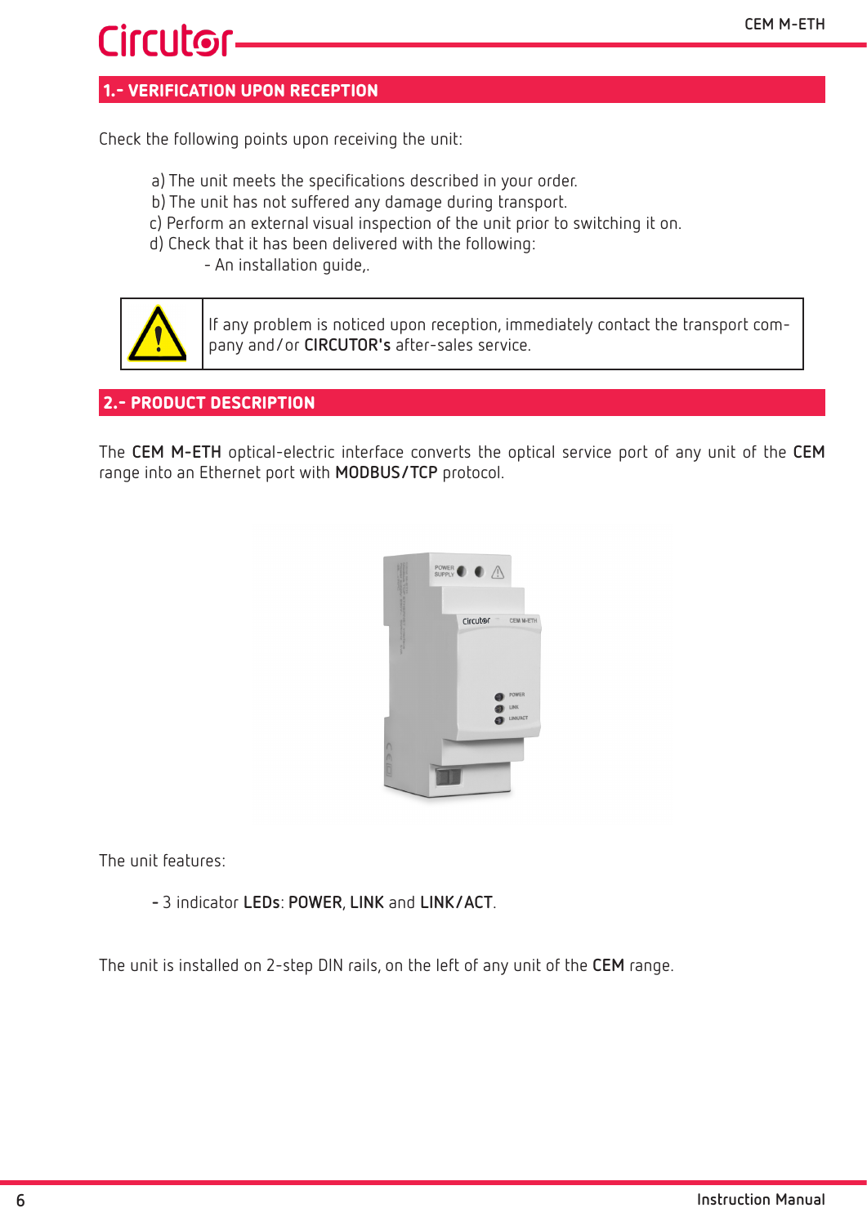### 1.- VERIFICATION UPON RECEPTION

Check the following points upon receiving the unit:

- a) The unit meets the specifications described in your order.
- b) The unit has not suffered any damage during transport.
- c) Perform an external visual inspection of the unit prior to switching it on.
- d) Check that it has been delivered with the following:
	- An installation guide,.



<span id="page-5-0"></span>Circutor-

If any problem is noticed upon reception, immediately contact the transport company and/or **CIRCUTOR's** after-sales service.

#### 2.- PRODUCT DESCRIPTION

The **CEM M-ETH** optical-electric interface converts the optical service port of any unit of the **CEM** range into an Ethernet port with **MODBUS/TCP** protocol.



The unit features:

**-** 3 indicator **LEDs**: **POWER**, **LINK** and **LINK/ACT**.

The unit is installed on 2-step DIN rails, on the left of any unit of the **CEM** range.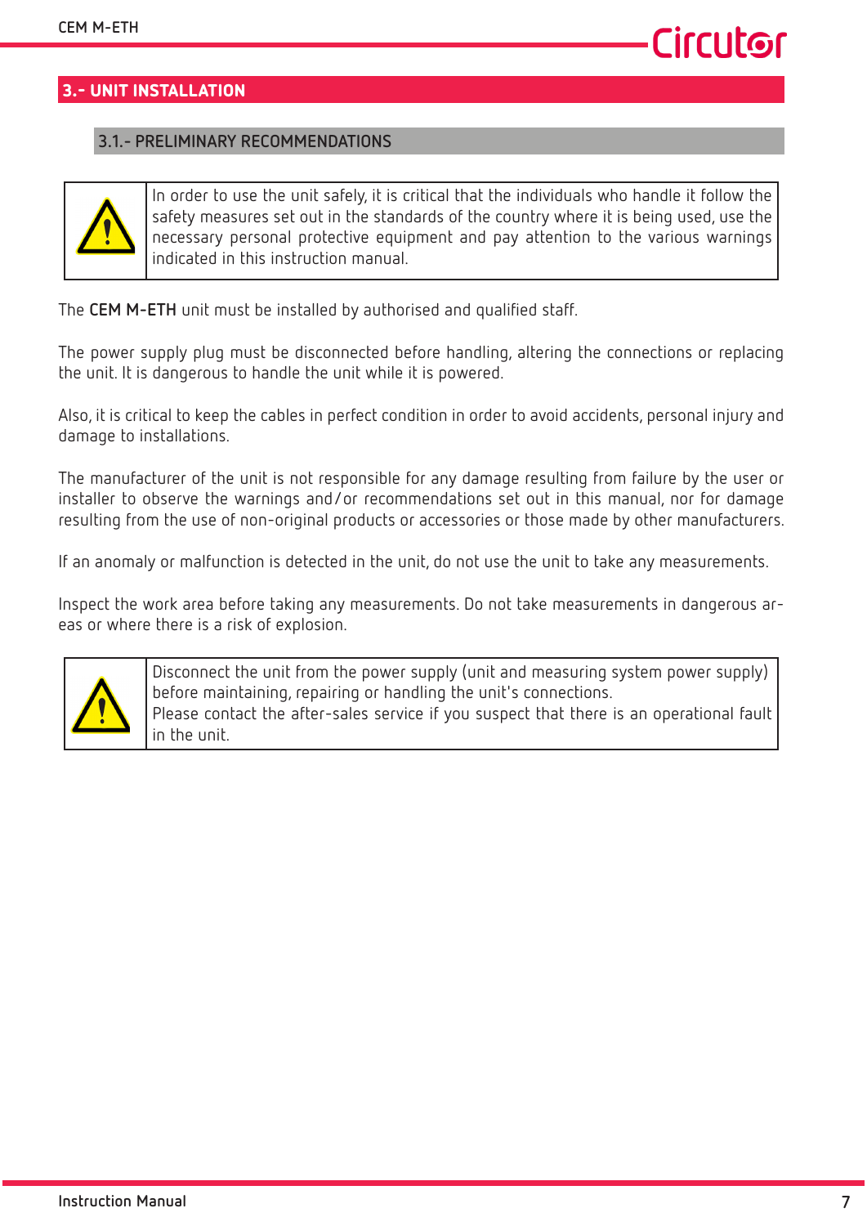#### <span id="page-6-0"></span>3.- UNIT INSTALLATION

#### **3.1.- PRELIMINARY RECOMMENDATIONS**



In order to use the unit safely, it is critical that the individuals who handle it follow the safety measures set out in the standards of the country where it is being used, use the necessary personal protective equipment and pay attention to the various warnings indicated in this instruction manual.

**Circutor** 

The **CEM M-ETH** unit must be installed by authorised and qualified staff.

The power supply plug must be disconnected before handling, altering the connections or replacing the unit. It is dangerous to handle the unit while it is powered.

Also, it is critical to keep the cables in perfect condition in order to avoid accidents, personal injury and damage to installations.

The manufacturer of the unit is not responsible for any damage resulting from failure by the user or installer to observe the warnings and/or recommendations set out in this manual, nor for damage resulting from the use of non-original products or accessories or those made by other manufacturers.

If an anomaly or malfunction is detected in the unit, do not use the unit to take any measurements.

Inspect the work area before taking any measurements. Do not take measurements in dangerous areas or where there is a risk of explosion.



Disconnect the unit from the power supply (unit and measuring system power supply) before maintaining, repairing or handling the unit's connections. Please contact the after-sales service if you suspect that there is an operational fault in the unit.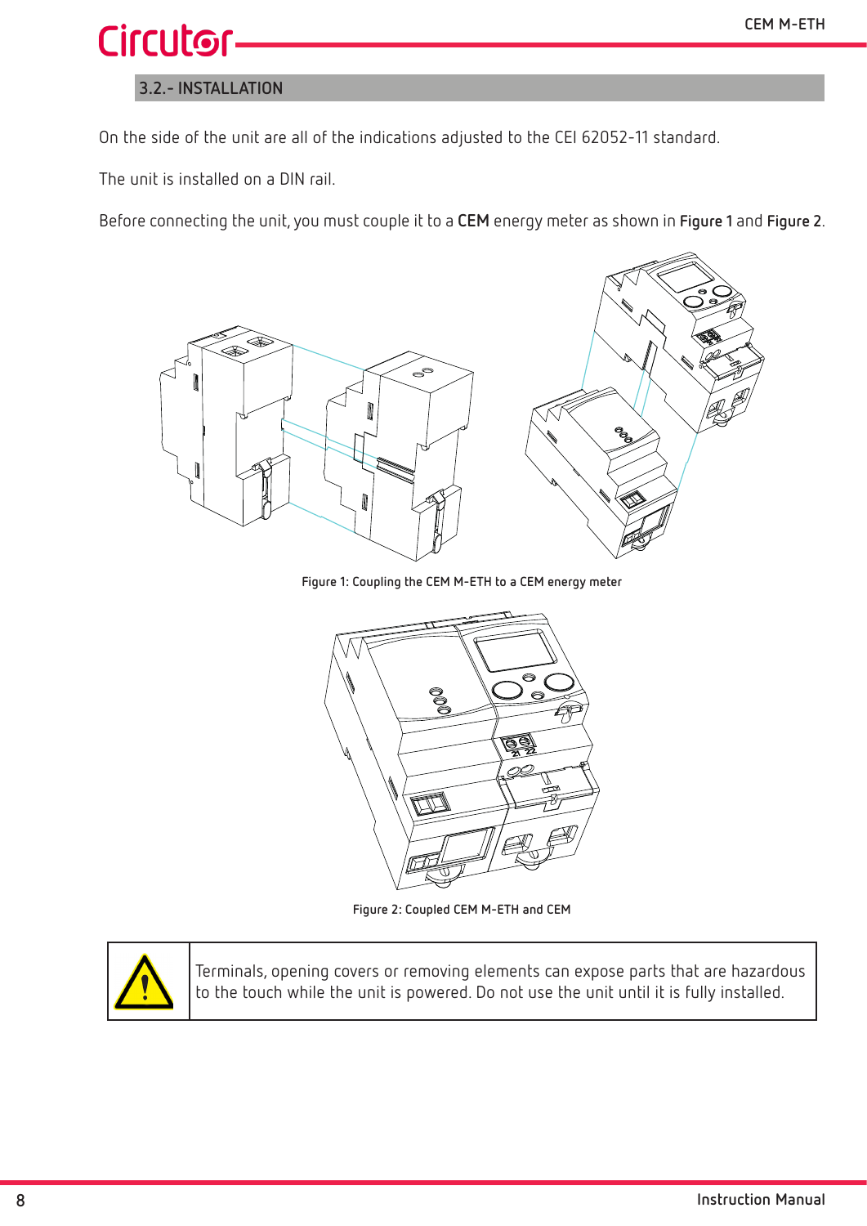### <span id="page-7-1"></span>**3.2.- INSTALLATION**

<span id="page-7-0"></span>Circutor-

On the side of the unit are all of the indications adjusted to the CEI 62052-11 standard.

The unit is installed on a DIN rail.

Before connecting the unit, you must couple it to a **CEM** energy meter as shown in **Figure 1** and **Figure 2**.



**Figure 1: Coupling the CEM M-ETH to a CEM energy meter**



**Figure 2: Coupled CEM M-ETH and CEM**



Terminals, opening covers or removing elements can expose parts that are hazardous to the touch while the unit is powered. Do not use the unit until it is fully installed.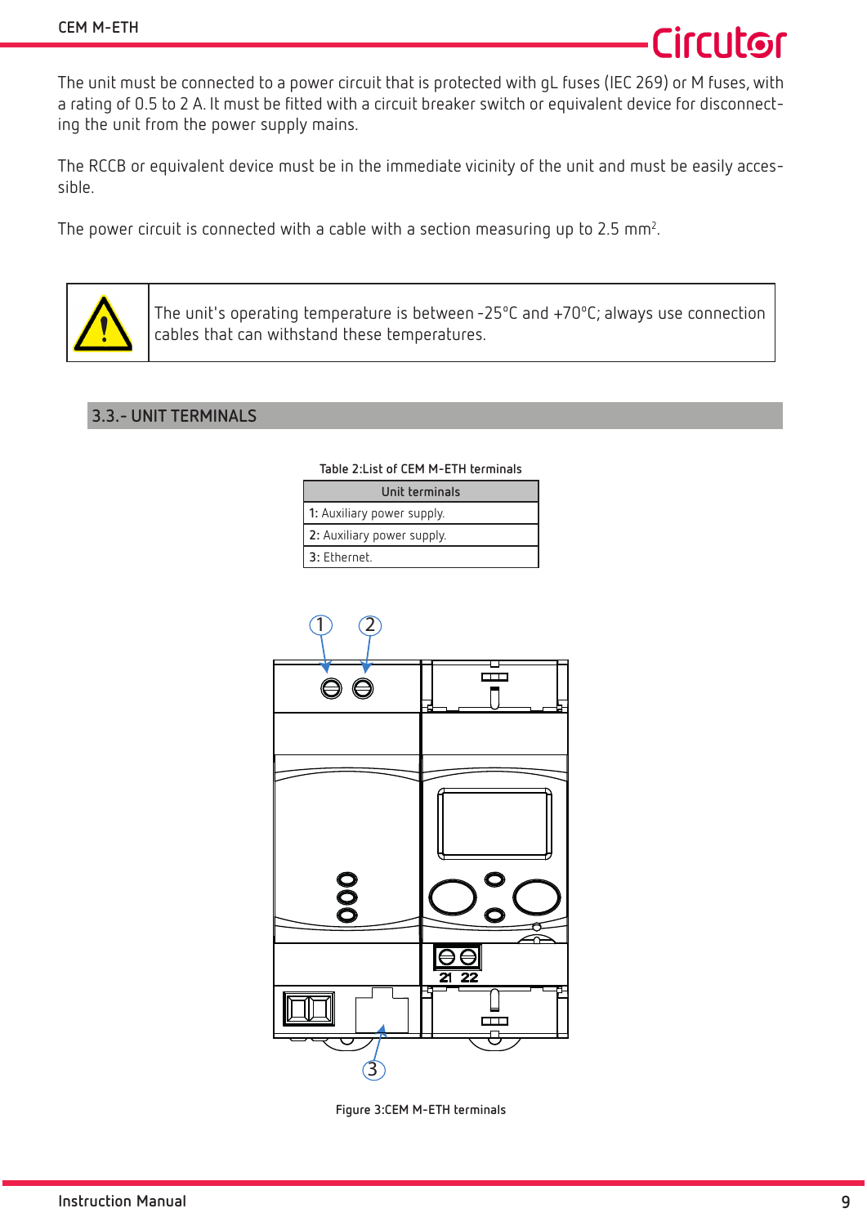<span id="page-8-0"></span>The unit must be connected to a power circuit that is protected with gL fuses (IEC 269) or M fuses, with a rating of 0.5 to 2 A. It must be fitted with a circuit breaker switch or equivalent device for disconnecting the unit from the power supply mains.

**Circutor** 

The RCCB or equivalent device must be in the immediate vicinity of the unit and must be easily accessible.

The power circuit is connected with a cable with a section measuring up to 2.5  $\textsf{mm}^{2}.$ 



The unit's operating temperature is between -25ºC and +70ºC; always use connection cables that can withstand these temperatures.

#### **3.3.- UNIT TERMINALS**

| Table 2: List of CEM M-ETH terminals |  |  |  |
|--------------------------------------|--|--|--|
| Unit terminals                       |  |  |  |
| 1: Auxiliary power supply.           |  |  |  |
| 2: Auxiliary power supply.           |  |  |  |
| 3: Ethernet.                         |  |  |  |



**Figure 3:CEM M-ETH terminals**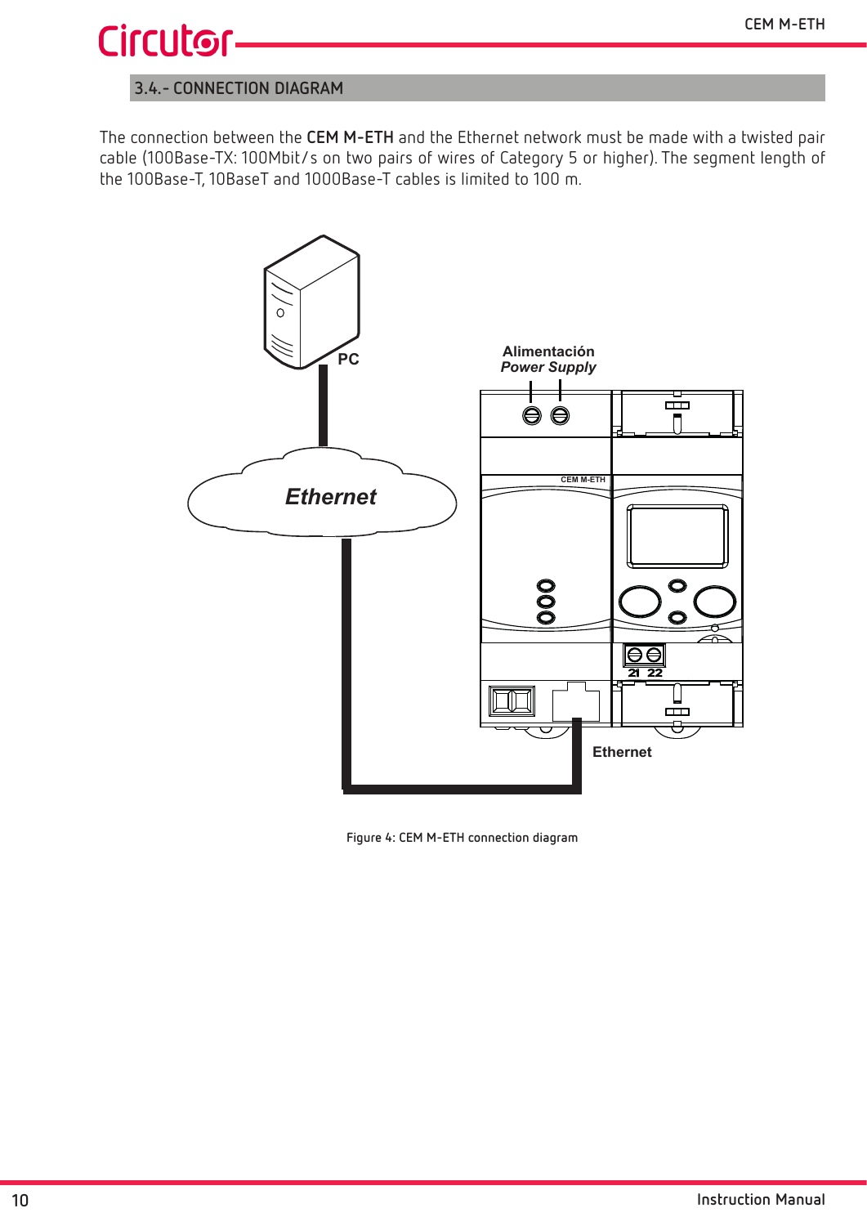#### **3.4.- CONNECTION DIAGRAM**

<span id="page-9-0"></span>Circutor-

The connection between the **CEM M-ETH** and the Ethernet network must be made with a twisted pair cable (100Base-TX: 100Mbit/s on two pairs of wires of Category 5 or higher). The segment length of the 100Base-T, 10BaseT and 1000Base-T cables is limited to 100 m.



**Figure 4: CEM M-ETH connection diagram**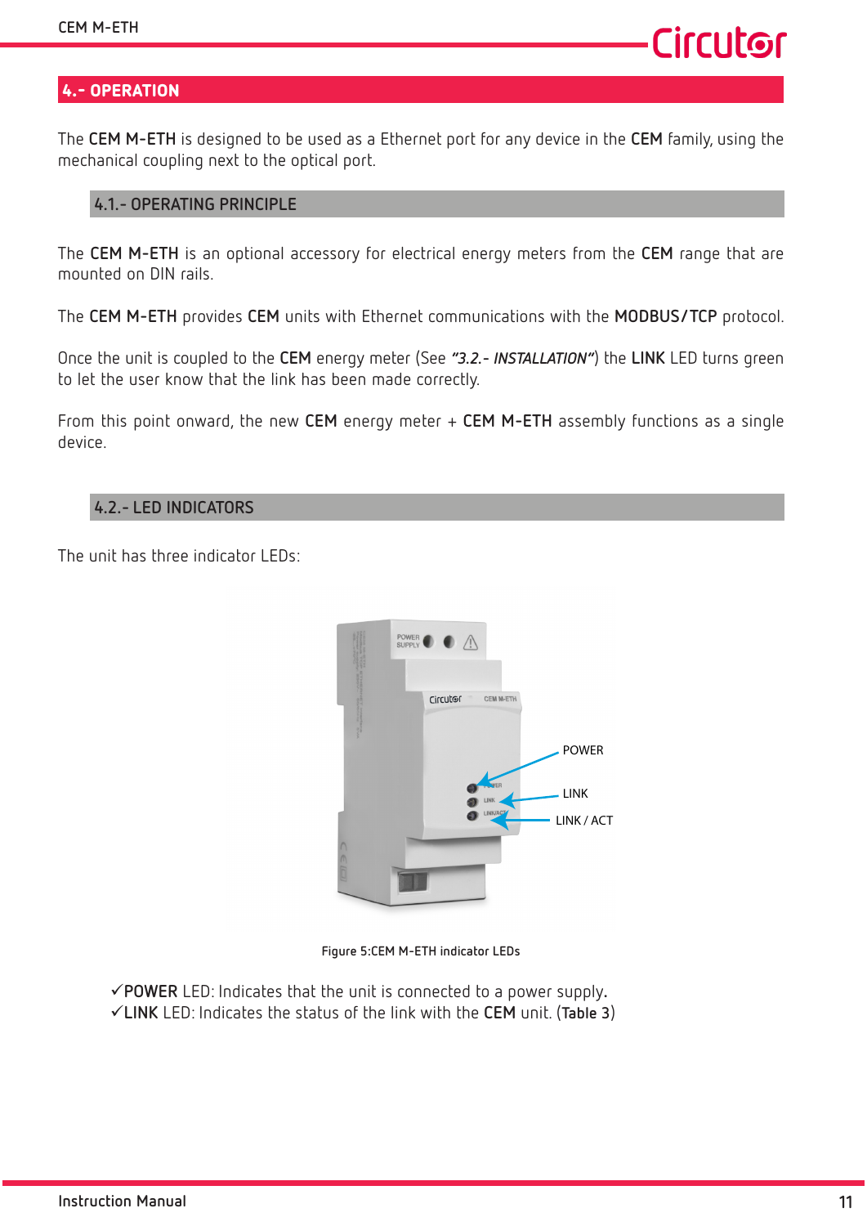#### <span id="page-10-0"></span>4.- OPERATION

The **CEM M-ETH** is designed to be used as a Ethernet port for any device in the **CEM** family, using the mechanical coupling next to the optical port.

**Circutor** 

#### **4.1.- OPERATING PRINCIPLE**

The **CEM M-ETH** is an optional accessory for electrical energy meters from the **CEM** range that are mounted on DIN rails.

The **CEM M-ETH** provides **CEM** units with Ethernet communications with the **MODBUS/TCP** protocol.

Once the unit is coupled to the **CEM** energy meter (See *["3.2.- INSTALLATION](#page-7-1)"*) the **LINK** LED turns green to let the user know that the link has been made correctly.

From this point onward, the new **CEM** energy meter + **CEM M-ETH** assembly functions as a single device.

#### **4.2.- LED INDICATORS**

The unit has three indicator LEDs:



**Figure 5:CEM M-ETH indicator LEDs**

 **POWER** LED: Indicates that the unit is connected to a power supply**. LINK** LED: Indicates the status of the link with the **CEM** unit. (**[Table 3](#page-11-1)**)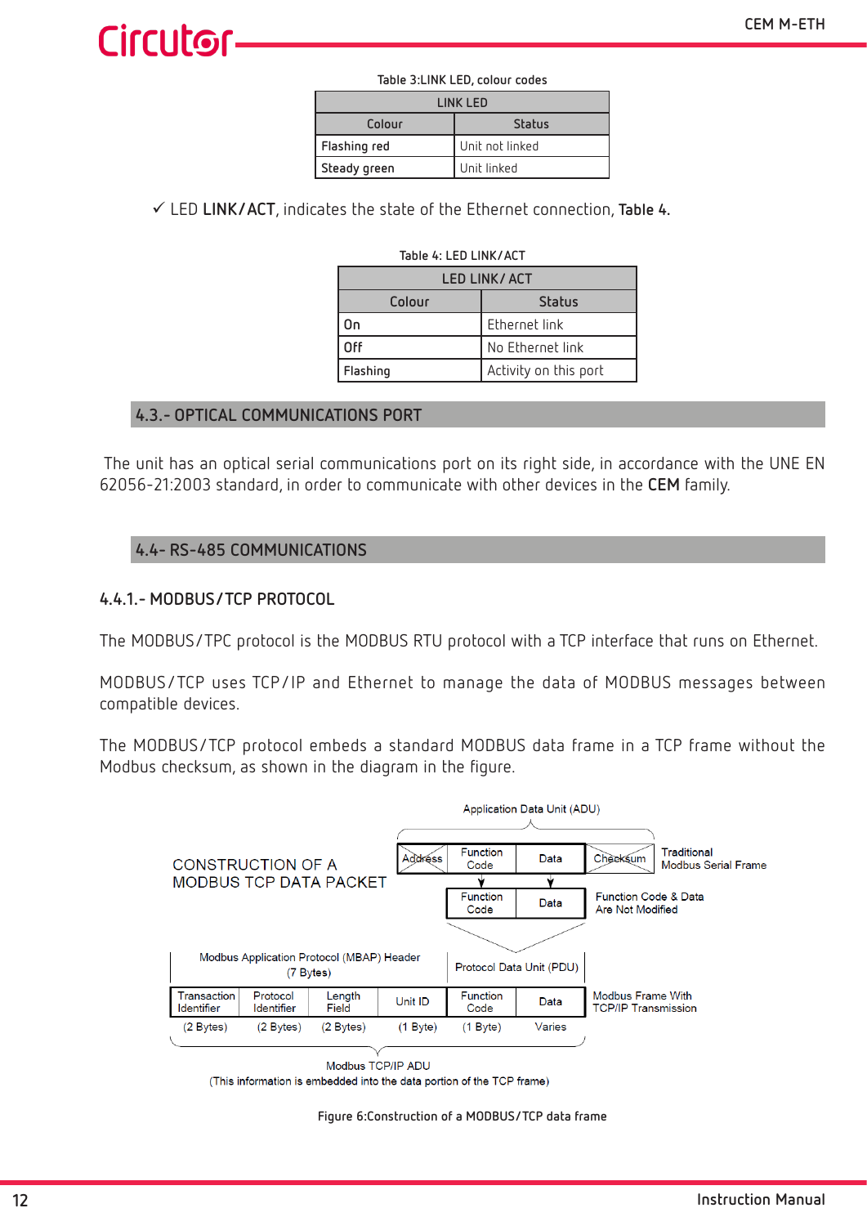<span id="page-11-2"></span><span id="page-11-1"></span>**CEM M-ETH**

#### **Table 3:LINK LED, colour codes**

| <b>LINK LED</b>         |                 |  |  |  |
|-------------------------|-----------------|--|--|--|
| <b>Status</b><br>Colour |                 |  |  |  |
| Flashing red            | Unit not linked |  |  |  |
| Steady green            | Unit linked     |  |  |  |

LED **LINK/ACT**, indicates the state of the Ethernet connection, **[Table 4.](#page-11-2)**

#### **Table 4: LED LINK/ACT**

| <b>LED LINK/ACT</b> |                       |  |  |  |
|---------------------|-----------------------|--|--|--|
| Colour              | <b>Status</b>         |  |  |  |
| On                  | Ethernet link         |  |  |  |
| Off                 | No Ethernet link      |  |  |  |
| Flashing            | Activity on this port |  |  |  |

#### **4.3.- OPTICAL COMMUNICATIONS PORT**

 The unit has an optical serial communications port on its right side, in accordance with the UNE EN 62056-21:2003 standard, in order to communicate with other devices in the **CEM** family.

#### **4.4- RS-485 COMMUNICATIONS**

#### **4.4.1.- MODBUS/TCP PROTOCOL**

<span id="page-11-0"></span>**Circutor** 

The MODBUS/TPC protocol is the MODBUS RTU protocol with a TCP interface that runs on Ethernet.

MODBUS/TCP uses TCP/IP and Ethernet to manage the data of MODBUS messages between compatible devices.

The MODBUS/TCP protocol embeds a standard MODBUS data frame in a TCP frame without the Modbus checksum, as shown in the diagram in the figure.



Modbus TCP/IP ADU

(This information is embedded into the data portion of the TCP frame)

**Figure 6:Construction of a MODBUS/TCP data frame**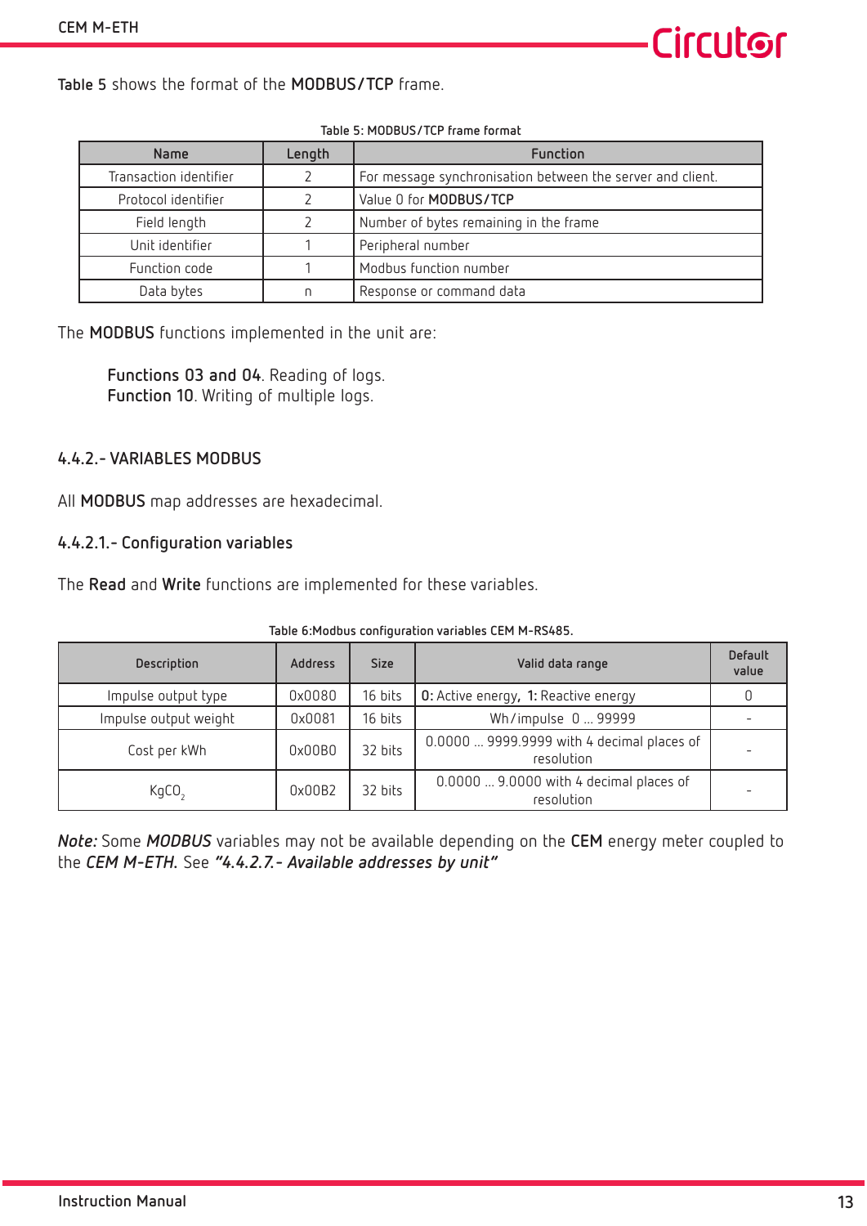<span id="page-12-0"></span>**Table 5** shows the format of the **MODBUS/TCP** frame.

| Table 5: MODBUS/TCP frame format |
|----------------------------------|
|----------------------------------|

**Circutor** 

| <b>Name</b>            | Length | Function                                                   |  |
|------------------------|--------|------------------------------------------------------------|--|
| Transaction identifier |        | For message synchronisation between the server and client. |  |
| Protocol identifier    |        | Value 0 for MODBUS/TCP                                     |  |
| Field length           |        | Number of bytes remaining in the frame                     |  |
| Unit identifier        |        | Peripheral number                                          |  |
| Function code          |        | Modbus function number                                     |  |
| Data bytes             |        | Response or command data                                   |  |

The **MODBUS** functions implemented in the unit are:

**Functions 03 and 04**. Reading of logs. **Function 10**. Writing of multiple logs.

#### **4.4.2.- VARIABLES MODBUS**

All **MODBUS** map addresses are hexadecimal.

#### **4.4.2.1.- Configuration variables**

The **Read** and **Write** functions are implemented for these variables.

| Description           | Address | <b>Size</b> | Valid data range                                         | <b>Default</b><br>value |
|-----------------------|---------|-------------|----------------------------------------------------------|-------------------------|
| Impulse output type   | 0x0080  | 16 bits     | 0: Active energy, 1: Reactive energy                     |                         |
| Impulse output weight | 0x0081  | 16 bits     | Wh/impulse 0  99999                                      |                         |
| Cost per kWh          | 0x00B0  | 32 bits     | 0.0000  9999.9999 with 4 decimal places of<br>resolution |                         |
| KgCO <sub>2</sub>     | 0x00B2  | 32 bits     | 0.0000  9.0000 with 4 decimal places of<br>resolution    |                         |

|  |  | Table 6:Modbus configuration variables CEM M-RS485. |
|--|--|-----------------------------------------------------|
|  |  |                                                     |

*Note:* Some *MODBUS* variables may not be available depending on the **CEM** energy meter coupled to the *CEM M-ETH.* See *"4.4.2.7.- Available addresses by unit"*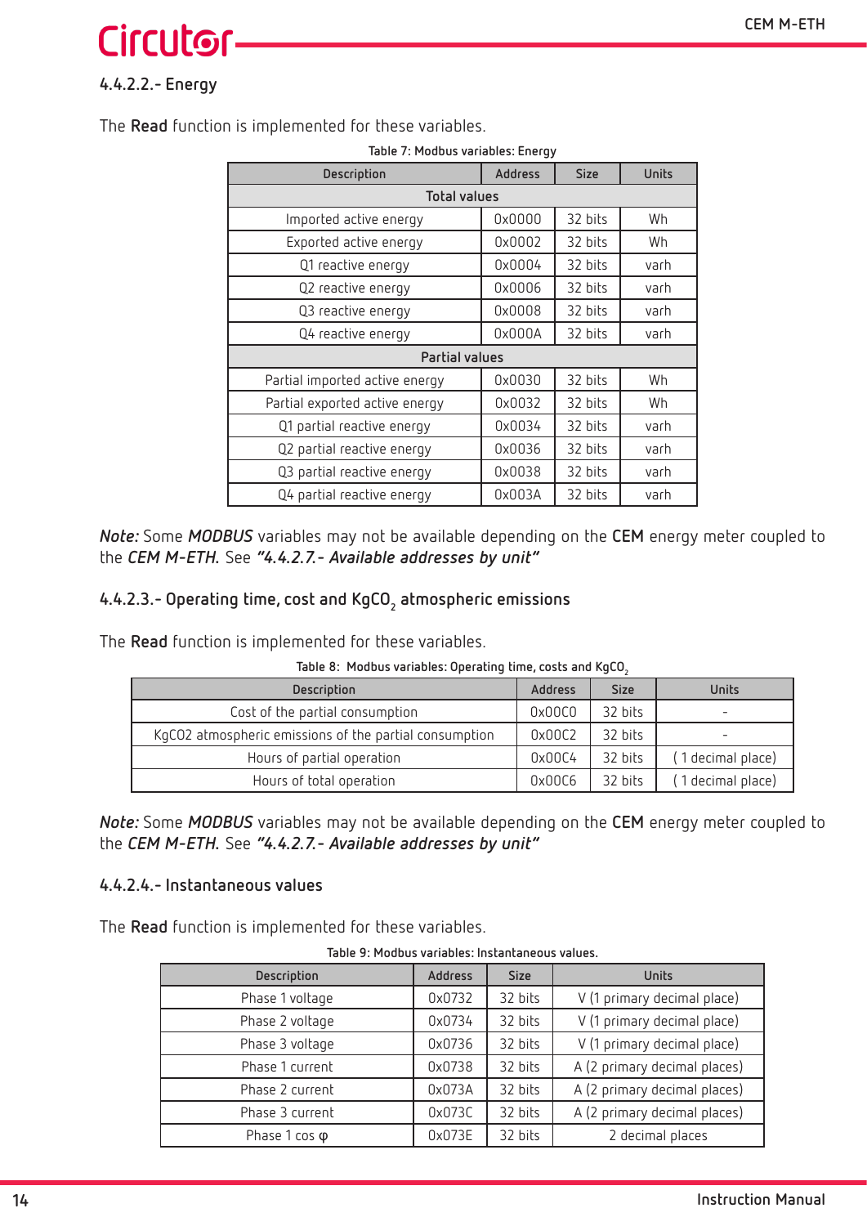**4.4.2.2.- Energy**

Circutor-

The **Read** function is implemented for these variables.

**Table 7: Modbus variables: Energy**

| <b>Address</b><br><b>Size</b><br><b>Units</b><br>Description |        |         |      |  |  |  |  |
|--------------------------------------------------------------|--------|---------|------|--|--|--|--|
| <b>Total values</b>                                          |        |         |      |  |  |  |  |
| Imported active energy                                       | 0x0000 | 32 bits | Wh   |  |  |  |  |
| Exported active energy                                       | 0x0002 | 32 bits | Wh   |  |  |  |  |
| Q1 reactive energy                                           | 0x0004 | 32 bits | varh |  |  |  |  |
| Q2 reactive energy                                           | 0x0006 | 32 bits | varh |  |  |  |  |
| Q3 reactive energy                                           | 0x0008 | 32 bits | varh |  |  |  |  |
| Q4 reactive energy                                           | 0x000A | 32 bits | varh |  |  |  |  |
| <b>Partial values</b>                                        |        |         |      |  |  |  |  |
| Partial imported active energy                               | 0x0030 | 32 bits | Wh   |  |  |  |  |
| Partial exported active energy                               | 0x0032 | 32 bits | Wh   |  |  |  |  |
| Q1 partial reactive energy                                   | 0x0034 | 32 bits | varh |  |  |  |  |
| Q2 partial reactive energy                                   | 0x0036 | 32 bits | varh |  |  |  |  |
| Q3 partial reactive energy                                   | 0x0038 | 32 bits | varh |  |  |  |  |
| Q4 partial reactive energy                                   | 0x003A | 32 bits | varh |  |  |  |  |

*Note:* Some *MODBUS* variables may not be available depending on the **CEM** energy meter coupled to the *CEM M-ETH.* See *"4.4.2.7.- Available addresses by unit"*

### 4.4.2.3.- Operating time, cost and KgCO<sub>2</sub> atmospheric emissions

The **Read** function is implemented for these variables.

|  |  |  | Table 8: Modbus variables: Operating time, costs and $\mathrm{KgCO}_{_2}$ |  |  |  |  |
|--|--|--|---------------------------------------------------------------------------|--|--|--|--|
|--|--|--|---------------------------------------------------------------------------|--|--|--|--|

| Description                                            | Address | <b>Size</b> | Units            |
|--------------------------------------------------------|---------|-------------|------------------|
| Cost of the partial consumption                        | 0x00C0  | 32 bits     | -                |
| KgCO2 atmospheric emissions of the partial consumption | 0x00C2  | 32 bits     | -                |
| Hours of partial operation                             | 0x00C4  | 32 bits     | 1 decimal place) |
| Hours of total operation                               | 0x00C6  | 32 bits     | 1 decimal place) |

*Note:* Some *MODBUS* variables may not be available depending on the **CEM** energy meter coupled to the *CEM M-ETH.* See *"4.4.2.7.- Available addresses by unit"*

#### **4.4.2.4.- Instantaneous values**

The **Read** function is implemented for these variables.

| Table 9: Modbus variables: Instantaneous values. |                |             |                              |  |  |  |
|--------------------------------------------------|----------------|-------------|------------------------------|--|--|--|
| Description                                      | <b>Address</b> | <b>Size</b> | <b>Units</b>                 |  |  |  |
| Phase 1 voltage                                  | 0x0732         | 32 bits     | V (1 primary decimal place)  |  |  |  |
| Phase 2 voltage                                  | 0x0734         | 32 bits     | V (1 primary decimal place)  |  |  |  |
| Phase 3 voltage                                  | 0x0736         | 32 bits     | V (1 primary decimal place)  |  |  |  |
| Phase 1 current                                  | 0x0738         | 32 bits     | A (2 primary decimal places) |  |  |  |
| Phase 2 current                                  | 0x073A         | 32 bits     | A (2 primary decimal places) |  |  |  |
| Phase 3 current                                  | 0x073C         | 32 bits     | A (2 primary decimal places) |  |  |  |
| Phase 1 $\cos \varphi$                           | 0x073E         | 32 bits     | 2 decimal places             |  |  |  |

**Table 9: Modbus variables: Instantaneous values.**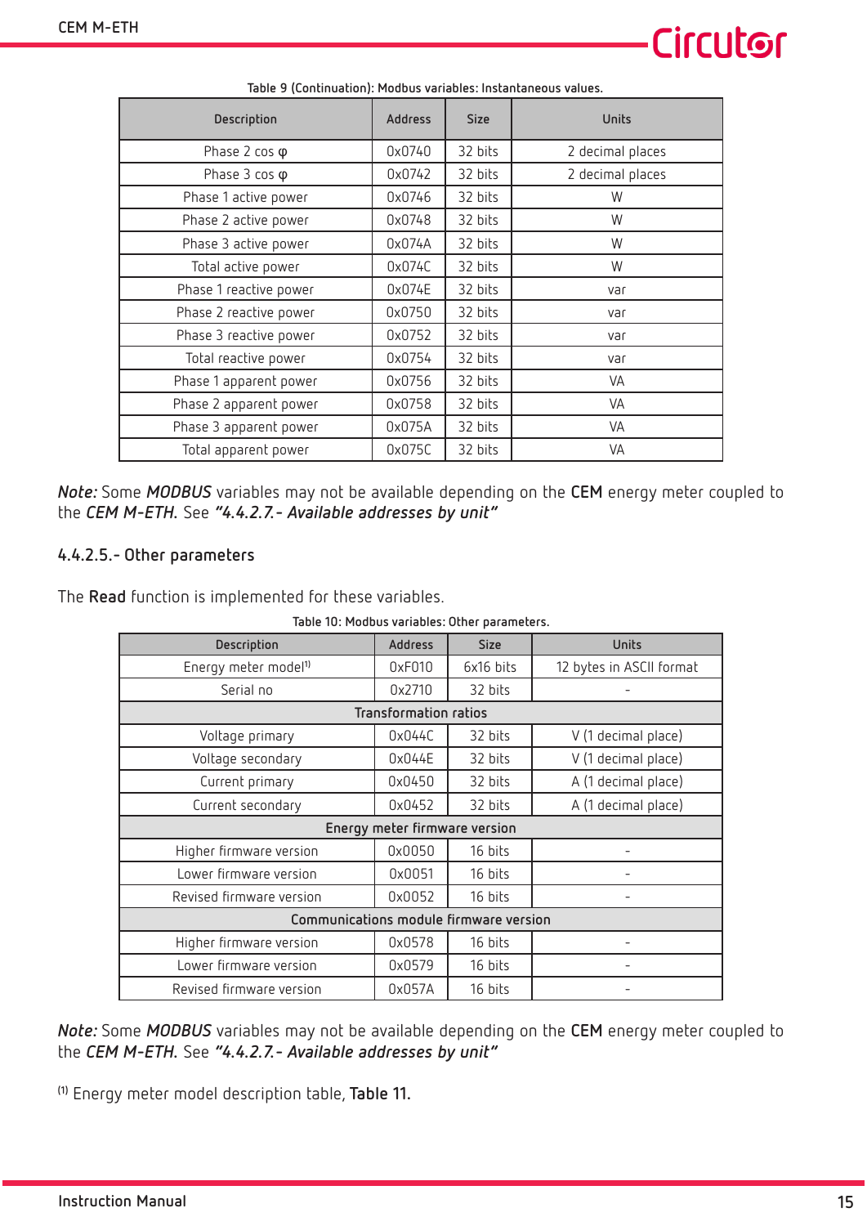| Description            | <b>Address</b> | <b>Size</b> | <b>Units</b>     |
|------------------------|----------------|-------------|------------------|
| Phase $2 \cos \varphi$ | 0x0740         | 32 bits     | 2 decimal places |
| Phase $3 \cos \varphi$ | 0x0742         | 32 bits     | 2 decimal places |
| Phase 1 active power   | 0x0746         | 32 bits     | W                |
| Phase 2 active power   | 0x0748         | 32 bits     | W                |
| Phase 3 active power   | 0x074A         | 32 bits     | W                |
| Total active power     | 0x074C         | 32 bits     | W                |
| Phase 1 reactive power | 0x074E         | 32 bits     | var              |
| Phase 2 reactive power | 0x0750         | 32 bits     | var              |
| Phase 3 reactive power | 0x0752         | 32 bits     | var              |
| Total reactive power   | 0x0754         | 32 bits     | var              |
| Phase 1 apparent power | 0x0756         | 32 bits     | VA               |
| Phase 2 apparent power | 0x0758         | 32 bits     | VA               |
| Phase 3 apparent power | 0x075A         | 32 bits     | <b>VA</b>        |
| Total apparent power   | 0x075C         | 32 bits     | <b>VA</b>        |

**Table 9 (Continuation): Modbus variables: Instantaneous values.**

**Circutor** 

*Note:* Some *MODBUS* variables may not be available depending on the **CEM** energy meter coupled to the *CEM M-ETH.* See *"4.4.2.7.- Available addresses by unit"*

#### **4.4.2.5.- Other parameters**

The **Read** function is implemented for these variables.

**Table 10: Modbus variables: Other parameters.**

| Description                            | <b>Address</b>                | <b>Size</b> | <b>Units</b>             |  |  |  |  |
|----------------------------------------|-------------------------------|-------------|--------------------------|--|--|--|--|
| Energy meter model <sup>1)</sup>       | 0xF010                        | 6x16 bits   | 12 bytes in ASCII format |  |  |  |  |
| Serial no                              | 0x2710                        | 32 bits     |                          |  |  |  |  |
|                                        | <b>Transformation ratios</b>  |             |                          |  |  |  |  |
| Voltage primary                        | 0x044C                        | 32 bits     | V (1 decimal place)      |  |  |  |  |
| Voltage secondary                      | 0x044E                        | 32 bits     | V (1 decimal place)      |  |  |  |  |
| Current primary                        | 0x0450                        | 32 bits     | A (1 decimal place)      |  |  |  |  |
| Current secondary                      | 0x0452                        | 32 bits     | A (1 decimal place)      |  |  |  |  |
|                                        | Energy meter firmware version |             |                          |  |  |  |  |
| Higher firmware version                | 0x0050                        | 16 bits     |                          |  |  |  |  |
| Lower firmware version                 | 0x0051                        | 16 bits     |                          |  |  |  |  |
| Revised firmware version               | 0x0052                        | 16 bits     |                          |  |  |  |  |
| Communications module firmware version |                               |             |                          |  |  |  |  |
| Higher firmware version                | 0x0578                        | 16 bits     |                          |  |  |  |  |
| Lower firmware version                 | 0x0579                        | 16 bits     |                          |  |  |  |  |
| Revised firmware version               | 0x057A                        | 16 bits     |                          |  |  |  |  |

*Note:* Some *MODBUS* variables may not be available depending on the **CEM** energy meter coupled to the *CEM M-ETH.* See *"4.4.2.7.- Available addresses by unit"*

**(1)** Energy meter model description table, **[Table 11](#page-15-0).**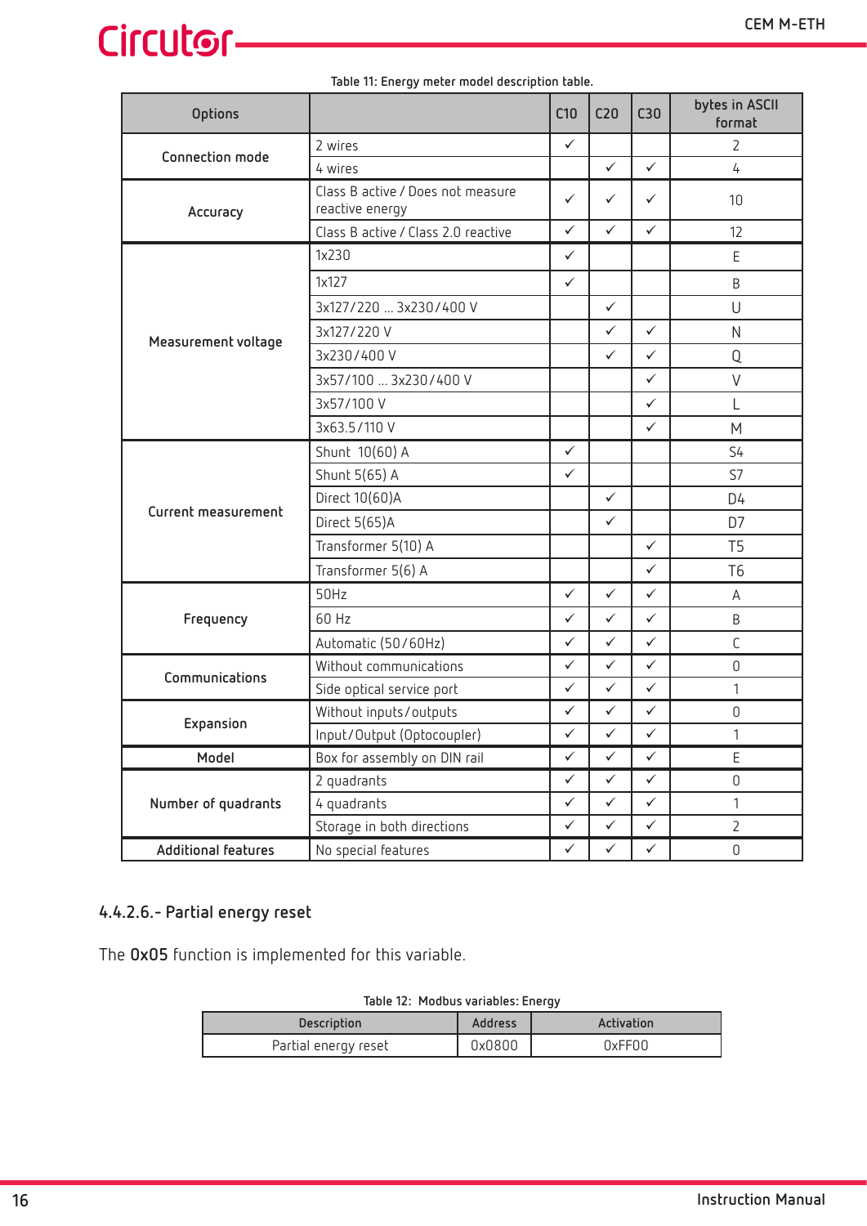<span id="page-15-0"></span>

| Table 11: Energy meter model description table. |  |  |  |
|-------------------------------------------------|--|--|--|

| <b>Options</b>             |                                                      | C10          | C <sub>20</sub> | C <sub>30</sub> | bytes in ASCII<br>format |
|----------------------------|------------------------------------------------------|--------------|-----------------|-----------------|--------------------------|
| Connection mode            | 2 wires                                              | $\checkmark$ |                 |                 | 2                        |
|                            | 4 wires                                              |              | $\checkmark$    | $\checkmark$    | 4                        |
| Accuracy                   | Class B active / Does not measure<br>reactive energy | $\checkmark$ | $\checkmark$    | ✓               | 10                       |
|                            | Class B active / Class 2.0 reactive                  | $\checkmark$ | $\checkmark$    | $\checkmark$    | 12                       |
|                            | 1x230                                                | $\checkmark$ |                 |                 | E                        |
|                            | 1x127                                                | $\checkmark$ |                 |                 | B                        |
|                            | 3x127/220  3x230/400 V                               |              | $\checkmark$    |                 | U                        |
| Measurement voltage        | 3x127/220 V                                          |              | $\checkmark$    | $\checkmark$    | N                        |
|                            | 3x230/400V                                           |              | $\checkmark$    | $\checkmark$    | Q                        |
|                            | 3x57/100  3x230/400 V                                |              |                 | $\checkmark$    | $\vee$                   |
|                            | 3x57/100 V                                           |              |                 | $\checkmark$    | L                        |
|                            | 3x63.5/110V                                          |              |                 | $\checkmark$    | M                        |
|                            | Shunt 10(60) A                                       | $\checkmark$ |                 |                 | S <sub>4</sub>           |
|                            | Shunt 5(65) A                                        | $\checkmark$ |                 |                 | S7                       |
|                            | Direct 10(60)A                                       |              | $\checkmark$    |                 | D4                       |
| Current measurement        | Direct 5(65)A                                        |              | $\checkmark$    |                 | D7                       |
|                            | Transformer 5(10) A                                  |              |                 | $\checkmark$    | T <sub>5</sub>           |
|                            | Transformer 5(6) A                                   |              |                 | ✓               | <b>T6</b>                |
|                            | 50Hz                                                 | $\checkmark$ | $\checkmark$    | $\checkmark$    | A                        |
| Frequency                  | 60 Hz                                                | ✓            | $\checkmark$    | $\checkmark$    | B                        |
|                            | Automatic (50/60Hz)                                  | $\checkmark$ | $\checkmark$    | $\checkmark$    | $\mathsf{C}$             |
| Communications             | Without communications                               | ✓            | $\checkmark$    | $\checkmark$    | $\mathsf 0$              |
|                            | Side optical service port                            | $\checkmark$ | $\checkmark$    | $\checkmark$    | 1                        |
| Expansion                  | Without inputs/outputs                               | ✓            | $\checkmark$    | $\checkmark$    | 0                        |
|                            | Input/Output (Optocoupler)                           | $\checkmark$ | $\checkmark$    | $\checkmark$    | 1                        |
| Model                      | Box for assembly on DIN rail                         | $\checkmark$ | $\checkmark$    | $\checkmark$    | Ε                        |
|                            | 2 quadrants                                          | $\checkmark$ | $\checkmark$    | $\checkmark$    | $\mathsf 0$              |
| Number of quadrants        | 4 quadrants                                          | $\checkmark$ | $\checkmark$    | $\checkmark$    | 1                        |
|                            | Storage in both directions                           | $\checkmark$ | $\checkmark$    | $\checkmark$    | $\overline{2}$           |
| <b>Additional features</b> | No special features                                  | $\checkmark$ | $\checkmark$    | $\checkmark$    | $\mathsf{O}$             |

## **4.4.2.6.- Partial energy reset**

Circutor-

The **0x05** function is implemented for this variable.

|  |  | Table 12: Modbus variables: Energy |  |
|--|--|------------------------------------|--|
|--|--|------------------------------------|--|

| Description          | Address | Activation |
|----------------------|---------|------------|
| Partial energy reset | 0x0800  | 0xFF00     |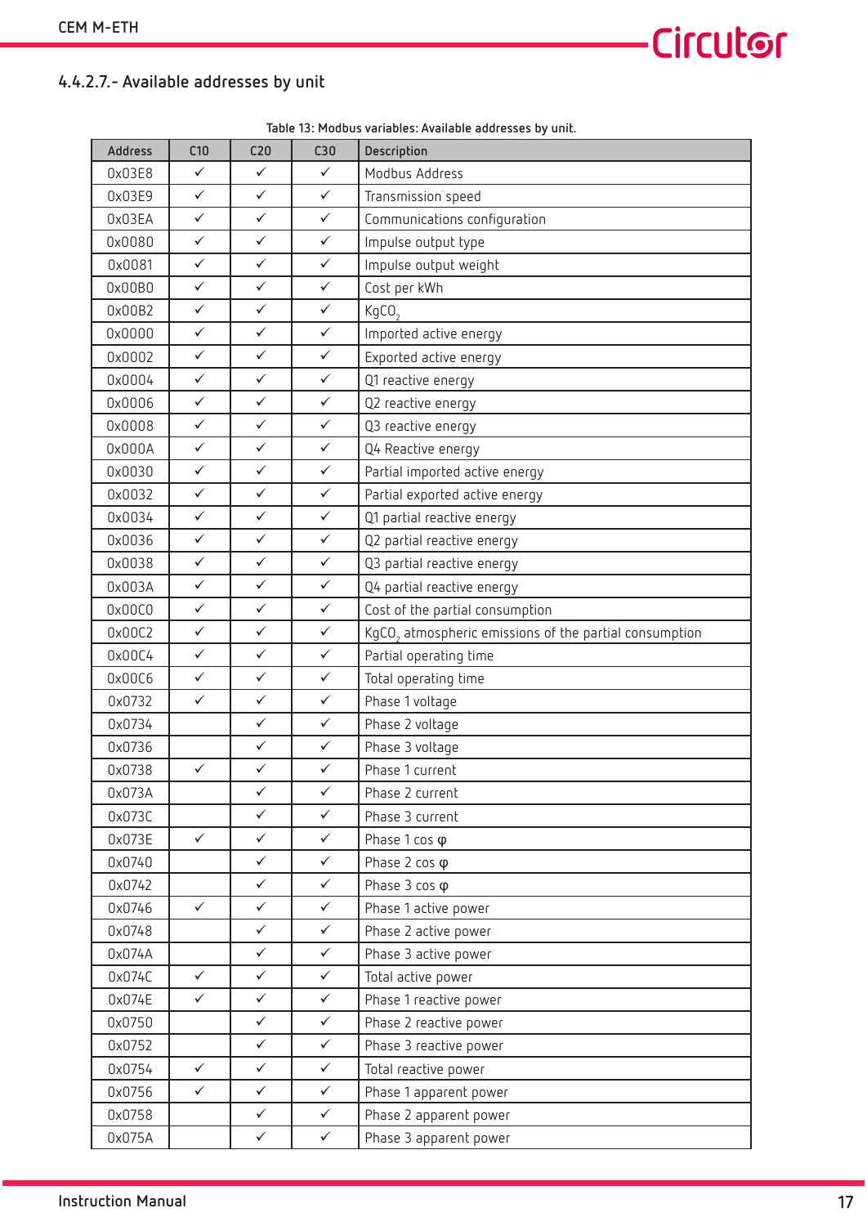## **4.4.2.7.- Available addresses by unit**

| Address | C10          | C <sub>20</sub> | C30          | Description                                                        |
|---------|--------------|-----------------|--------------|--------------------------------------------------------------------|
| 0x03E8  | $\checkmark$ | $\checkmark$    | $\checkmark$ | Modbus Address                                                     |
| 0x03E9  | $\checkmark$ | $\checkmark$    | $\checkmark$ | Transmission speed                                                 |
| 0x03EA  | $\checkmark$ | $\checkmark$    | $\checkmark$ | Communications configuration                                       |
| 0x0080  | $\checkmark$ | $\checkmark$    | $\checkmark$ | Impulse output type                                                |
| 0x0081  | $\checkmark$ | $\checkmark$    | $\checkmark$ | Impulse output weight                                              |
| 0x00B0  | $\checkmark$ | $\checkmark$    | $\checkmark$ | Cost per kWh                                                       |
| 0x00B2  | $\checkmark$ | $\checkmark$    | $\checkmark$ | KgCO <sub>2</sub>                                                  |
| 0x0000  | $\checkmark$ | $\checkmark$    | $\checkmark$ | Imported active energy                                             |
| 0x0002  | $\checkmark$ | $\checkmark$    | $\checkmark$ | Exported active energy                                             |
| 0x0004  | $\checkmark$ | $\checkmark$    | $\checkmark$ | Q1 reactive energy                                                 |
| 0x0006  | $\checkmark$ | $\checkmark$    | $\checkmark$ | Q2 reactive energy                                                 |
| 0x0008  | $\checkmark$ | $\checkmark$    | $\checkmark$ | Q3 reactive energy                                                 |
| 0x000A  | $\checkmark$ | $\checkmark$    | $\checkmark$ | Q4 Reactive energy                                                 |
| 0x0030  | $\checkmark$ | $\checkmark$    | $\checkmark$ | Partial imported active energy                                     |
| 0x0032  | $\checkmark$ | $\checkmark$    | $\checkmark$ | Partial exported active energy                                     |
| 0x0034  | $\checkmark$ | $\checkmark$    | $\checkmark$ | Q1 partial reactive energy                                         |
| 0x0036  | $\checkmark$ | $\checkmark$    | $\checkmark$ | Q2 partial reactive energy                                         |
| 0x0038  | $\checkmark$ | $\checkmark$    | $\checkmark$ | Q3 partial reactive energy                                         |
| 0x003A  | $\checkmark$ | $\checkmark$    | $\checkmark$ | Q4 partial reactive energy                                         |
| 0x00C0  | $\checkmark$ | $\checkmark$    | $\checkmark$ | Cost of the partial consumption                                    |
| 0x00C2  | $\checkmark$ | $\checkmark$    | $\checkmark$ | KgCO <sub>2</sub> atmospheric emissions of the partial consumption |
| 0x00C4  | $\checkmark$ | $\checkmark$    | $\checkmark$ | Partial operating time                                             |
| 0x00C6  | $\checkmark$ | $\checkmark$    | $\checkmark$ | Total operating time                                               |
| 0x0732  | $\checkmark$ | $\checkmark$    | $\checkmark$ | Phase 1 voltage                                                    |
| 0x0734  |              | $\checkmark$    | $\checkmark$ | Phase 2 voltage                                                    |
| 0x0736  |              | $\checkmark$    | $\checkmark$ | Phase 3 voltage                                                    |
| 0x0738  | $\checkmark$ | $\checkmark$    | $\checkmark$ | Phase 1 current                                                    |
| 0x073A  |              | $\checkmark$    | $\checkmark$ | Phase 2 current                                                    |
| 0x073C  |              | $\checkmark$    | $\checkmark$ | Phase 3 current                                                    |
| 0x073E  | $\checkmark$ | $\checkmark$    | $\checkmark$ | Phase $1 \cos \varphi$                                             |
| 0x0740  |              | $\checkmark$    | $\checkmark$ | Phase $2 \cos \varphi$                                             |
| 0x0742  |              | $\checkmark$    | $\checkmark$ | Phase $3 \cos \varphi$                                             |
| 0x0746  | $\checkmark$ | $\checkmark$    | $\checkmark$ | Phase 1 active power                                               |
| 0x0748  |              | $\checkmark$    | $\checkmark$ | Phase 2 active power                                               |
| 0x074A  |              | $\checkmark$    | $\checkmark$ | Phase 3 active power                                               |
| 0x074C  | $\checkmark$ | $\checkmark$    | $\checkmark$ | Total active power                                                 |
| 0x074E  | $\checkmark$ | $\checkmark$    | $\checkmark$ | Phase 1 reactive power                                             |
| 0x0750  |              | $\checkmark$    | $\checkmark$ | Phase 2 reactive power                                             |
| 0x0752  |              | $\checkmark$    | $\checkmark$ | Phase 3 reactive power                                             |
| 0x0754  | $\checkmark$ | $\checkmark$    | $\checkmark$ | Total reactive power                                               |
| 0x0756  | $\checkmark$ | $\checkmark$    | $\checkmark$ | Phase 1 apparent power                                             |
| 0x0758  |              | $\checkmark$    | $\checkmark$ | Phase 2 apparent power                                             |
| 0x075A  |              | $\checkmark$    | $\checkmark$ | Phase 3 apparent power                                             |

| Table 13: Modbus variables: Available addresses by unit. |  |  |  |
|----------------------------------------------------------|--|--|--|
|----------------------------------------------------------|--|--|--|

**Circutor**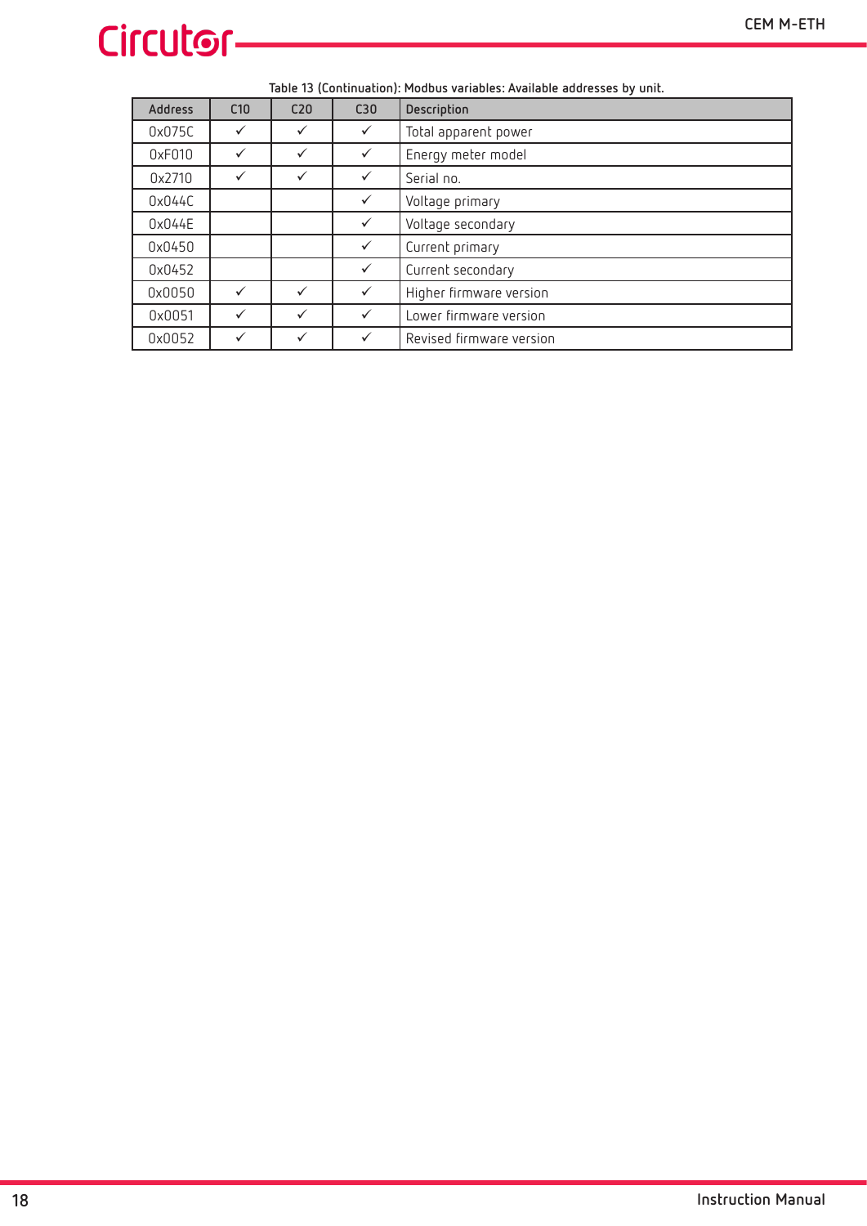| <b>Circutor</b> |
|-----------------|
|-----------------|

| <b>Address</b> | C10          | C <sub>20</sub> | C30          | Description              |
|----------------|--------------|-----------------|--------------|--------------------------|
| 0x075C         | ✓            | ✓               | $\checkmark$ | Total apparent power     |
| 0xF010         | $\checkmark$ | ✓               | $\checkmark$ | Energy meter model       |
| 0x2710         | $\checkmark$ | ✓               | $\checkmark$ | Serial no.               |
| 0x044C         |              |                 | $\checkmark$ | Voltage primary          |
| 0x044E         |              |                 | $\checkmark$ | Voltage secondary        |
| 0x0450         |              |                 | $\checkmark$ | Current primary          |
| 0x0452         |              |                 | $\checkmark$ | Current secondary        |
| 0x0050         | $\checkmark$ | $\checkmark$    | $\checkmark$ | Higher firmware version  |
| 0x0051         | ✓            | ✓               | $\checkmark$ | Lower firmware version   |
| 0x0052         | ✓            | ✓               | ✓            | Revised firmware version |

**Table 13 (Continuation): Modbus variables: Available addresses by unit.**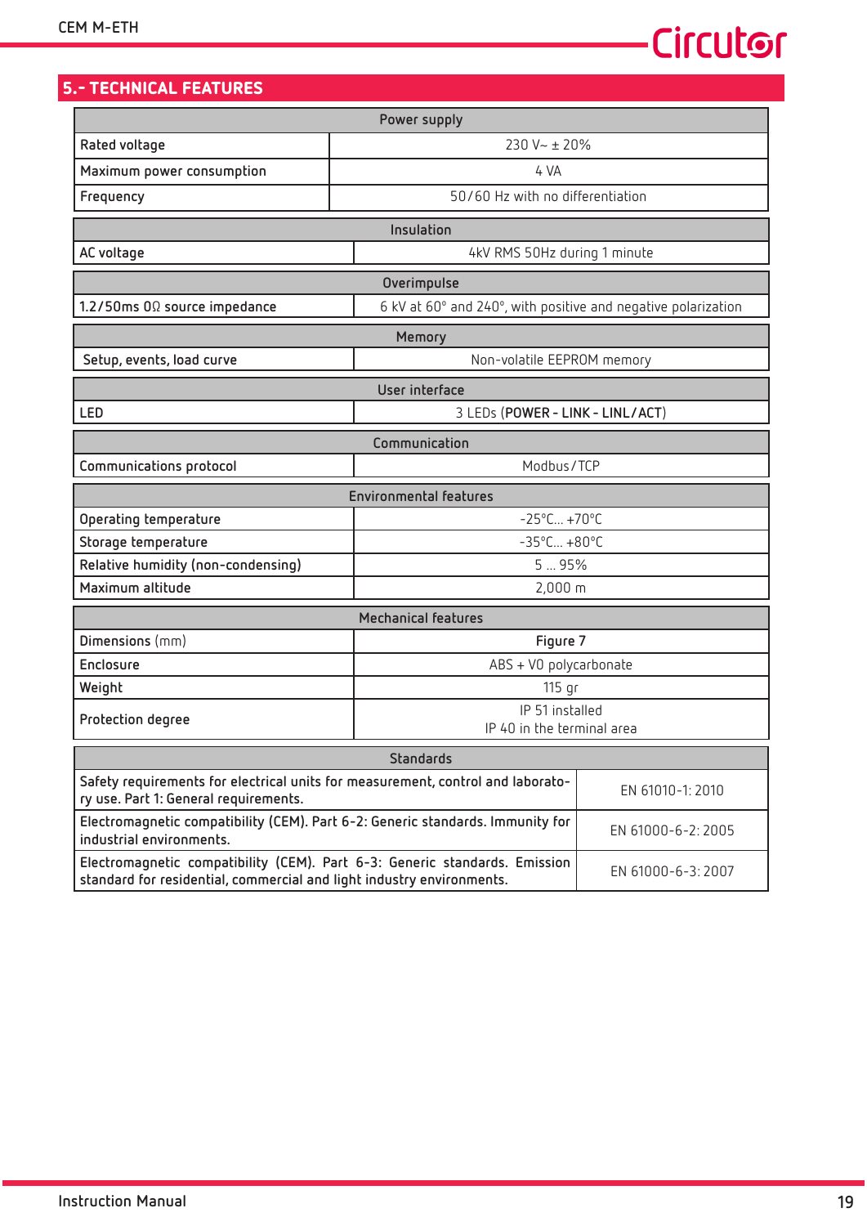## <span id="page-18-0"></span>5.- TECHNICAL FEATURES

| Power supply                                                                                                                                        |                                                               |                  |  |  |  |  |
|-----------------------------------------------------------------------------------------------------------------------------------------------------|---------------------------------------------------------------|------------------|--|--|--|--|
| Rated voltage                                                                                                                                       | 230 V~ ± 20%                                                  |                  |  |  |  |  |
| Maximum power consumption                                                                                                                           | 4 VA                                                          |                  |  |  |  |  |
| Frequency                                                                                                                                           | 50/60 Hz with no differentiation                              |                  |  |  |  |  |
|                                                                                                                                                     | Insulation                                                    |                  |  |  |  |  |
| AC voltage                                                                                                                                          | 4kV RMS 50Hz during 1 minute                                  |                  |  |  |  |  |
|                                                                                                                                                     | Overimpulse                                                   |                  |  |  |  |  |
| 1.2/50ms $0\Omega$ source impedance                                                                                                                 | 6 kV at 60° and 240°, with positive and negative polarization |                  |  |  |  |  |
|                                                                                                                                                     | Memory                                                        |                  |  |  |  |  |
| Setup, events, load curve                                                                                                                           | Non-volatile EEPROM memory                                    |                  |  |  |  |  |
|                                                                                                                                                     | User interface                                                |                  |  |  |  |  |
| LED                                                                                                                                                 | 3 LEDs (POWER - LINK - LINL/ACT)                              |                  |  |  |  |  |
|                                                                                                                                                     | Communication                                                 |                  |  |  |  |  |
| Communications protocol<br>Modbus/TCP                                                                                                               |                                                               |                  |  |  |  |  |
|                                                                                                                                                     | <b>Environmental features</b>                                 |                  |  |  |  |  |
| $-25^{\circ}$ C +70 $^{\circ}$ C<br>Operating temperature                                                                                           |                                                               |                  |  |  |  |  |
| Storage temperature<br>$-35^{\circ}$ C +80 $^{\circ}$ C                                                                                             |                                                               |                  |  |  |  |  |
| Relative humidity (non-condensing)                                                                                                                  | 595%                                                          |                  |  |  |  |  |
| Maximum altitude                                                                                                                                    | $2,000 \text{ m}$                                             |                  |  |  |  |  |
|                                                                                                                                                     | <b>Mechanical features</b>                                    |                  |  |  |  |  |
| Dimensions (mm)                                                                                                                                     | Figure 7                                                      |                  |  |  |  |  |
| <b>Enclosure</b>                                                                                                                                    | ABS + V0 polycarbonate                                        |                  |  |  |  |  |
| Weight                                                                                                                                              | 115 gr                                                        |                  |  |  |  |  |
| Protection degree                                                                                                                                   | IP 51 installed<br>IP 40 in the terminal area                 |                  |  |  |  |  |
| Standards                                                                                                                                           |                                                               |                  |  |  |  |  |
| Safety requirements for electrical units for measurement, control and laborato-<br>ry use. Part 1: General requirements.                            |                                                               | EN 61010-1: 2010 |  |  |  |  |
| Electromagnetic compatibility (CEM). Part 6-2: Generic standards. Immunity for<br>industrial environments.                                          | EN 61000-6-2: 2005                                            |                  |  |  |  |  |
| Electromagnetic compatibility (CEM). Part 6-3: Generic standards. Emission<br>standard for residential, commercial and light industry environments. | EN 61000-6-3: 2007                                            |                  |  |  |  |  |

**Circutor**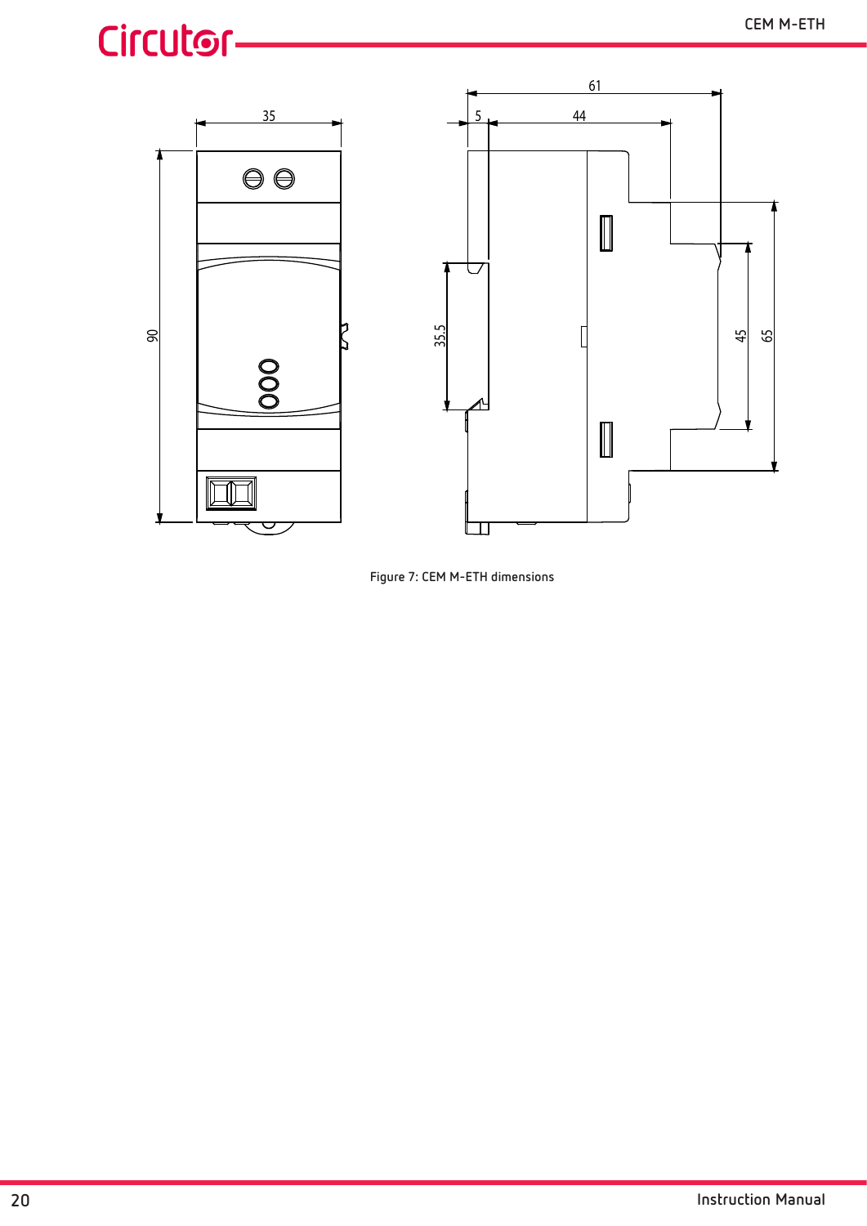

<span id="page-19-0"></span>**Figure 7: CEM M-ETH dimensions**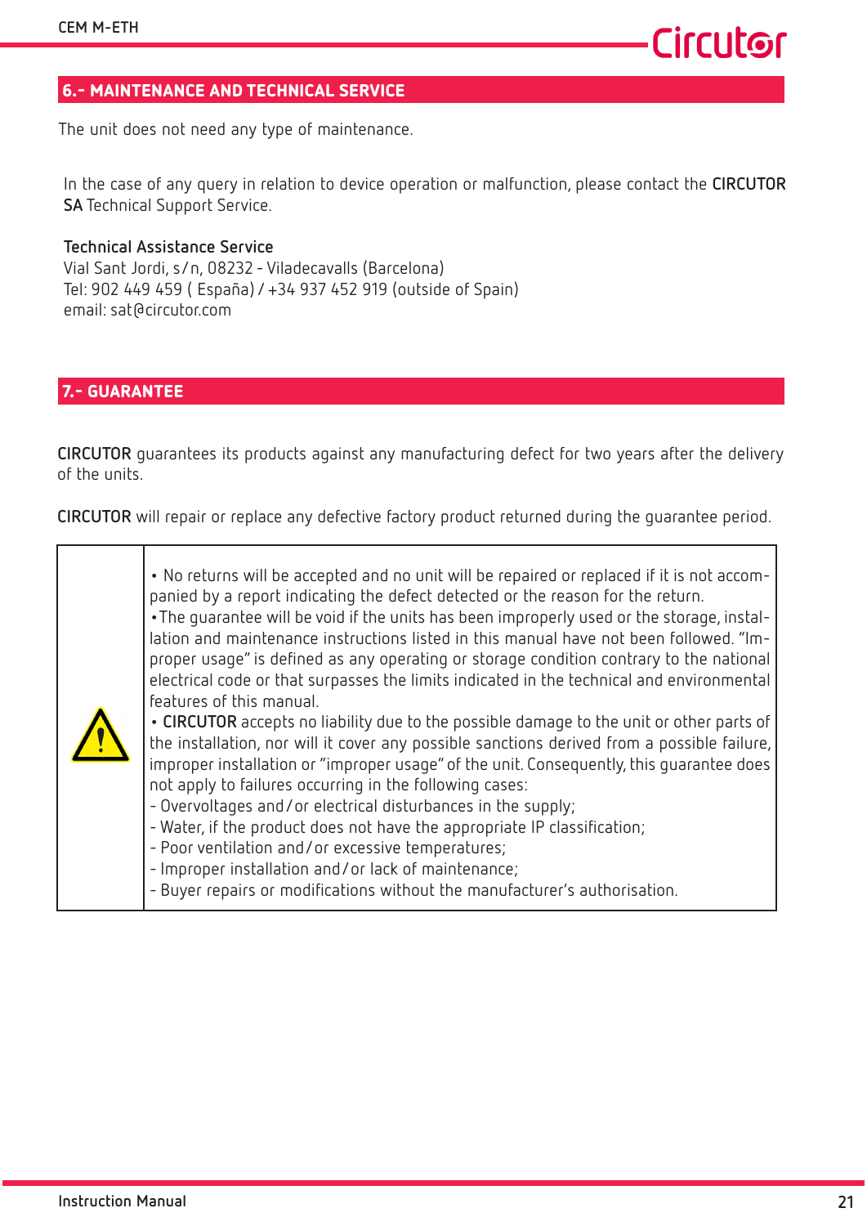#### <span id="page-20-0"></span>6.- MAINTENANCE AND TECHNICAL SERVICE

The unit does not need any type of maintenance.

In the case of any query in relation to device operation or malfunction, please contact the **CIRCUTOR, SA** Technical Support Service.

**Circutor** 

#### **Technical Assistance Service**

Vial Sant Jordi, s/n, 08232 - Viladecavalls (Barcelona) Tel: 902 449 459 ( España) / +34 937 452 919 (outside of Spain) email: sat@circutor.com

#### 7.- GUARANTEE

**CIRCUTOR** guarantees its products against any manufacturing defect for two years after the delivery of the units.

**CIRCUTOR** will repair or replace any defective factory product returned during the guarantee period.

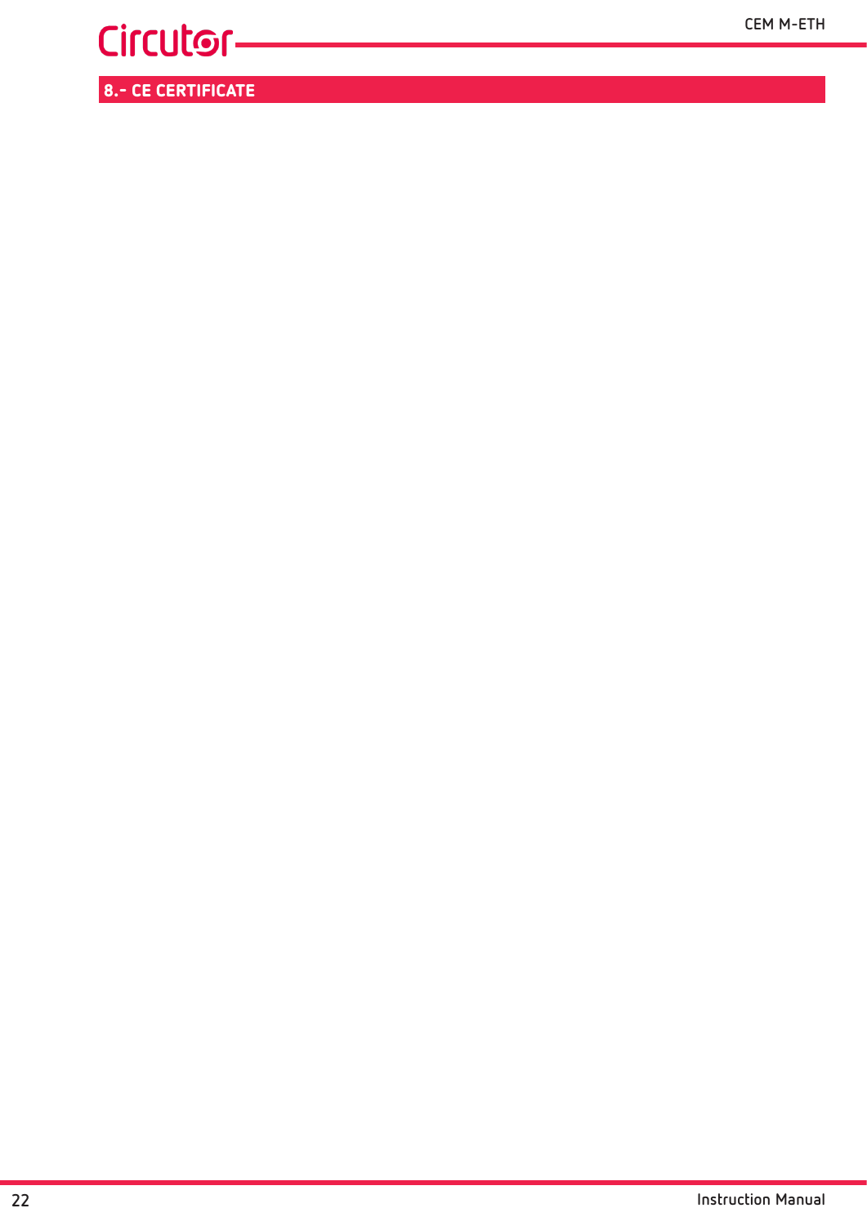<span id="page-21-0"></span>

8.- CE CERTIFICATE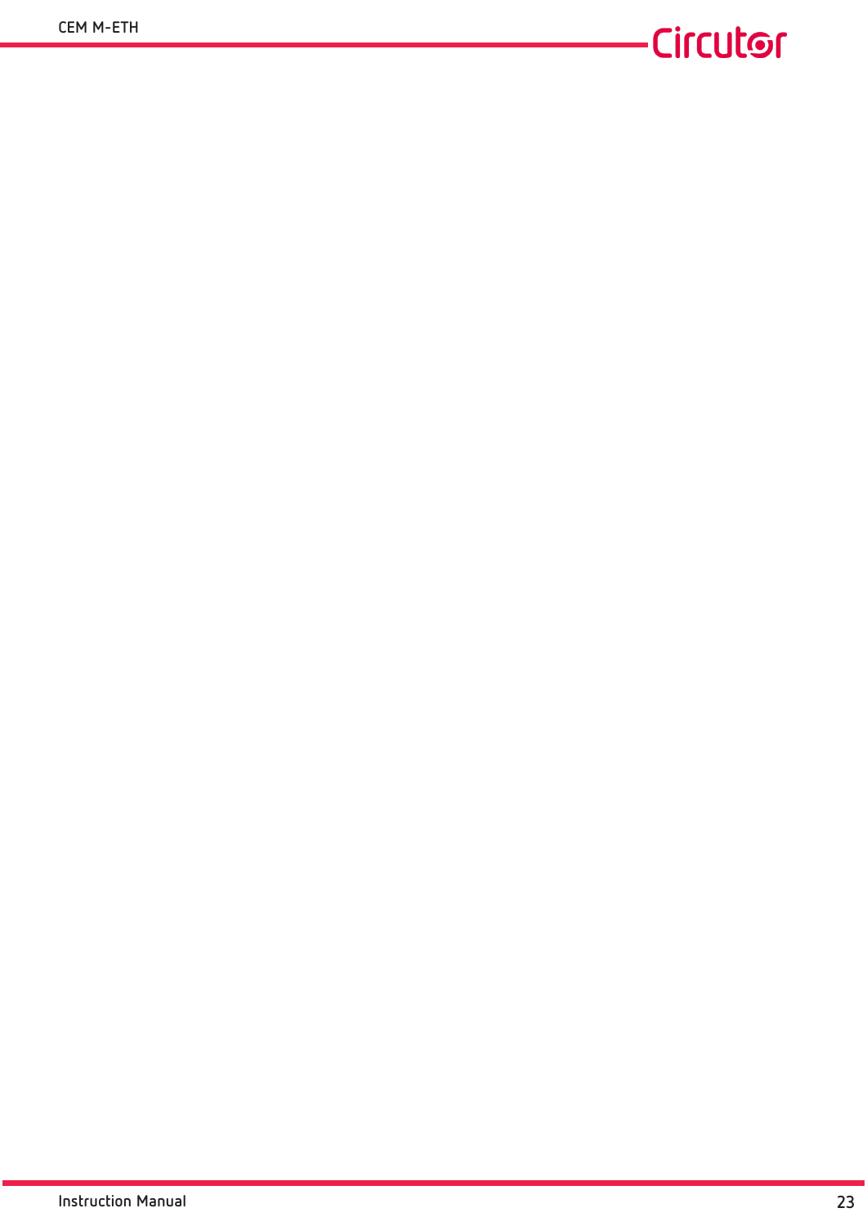## **Circutor**